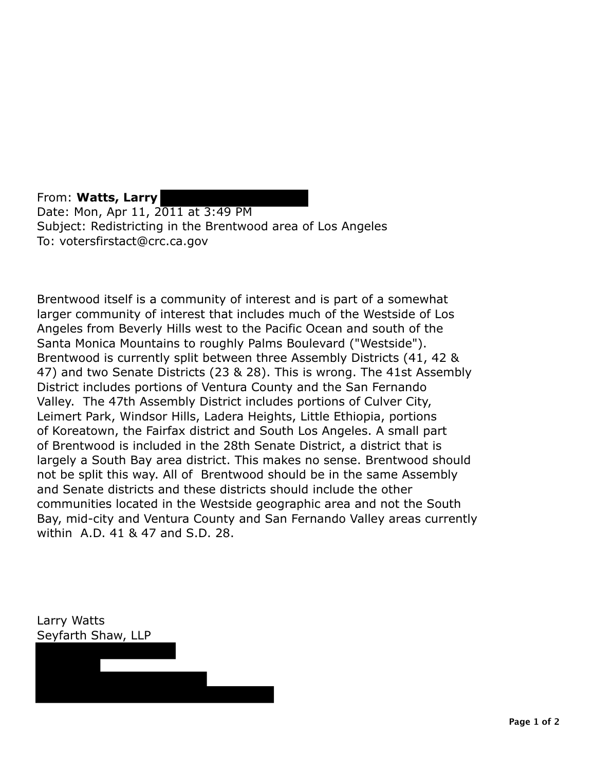From: **Watts, Larry**  Date: Mon, Apr 11, 2011 at 3:49 PM Subject: Redistricting in the Brentwood area of Los Angeles To: votersfirstact@crc.ca.gov

Brentwood itself is a community of interest and is part of a somewhat larger community of interest that includes much of the Westside of Los Angeles from Beverly Hills west to the Pacific Ocean and south of the Santa Monica Mountains to roughly Palms Boulevard ("Westside"). Brentwood is currently split between three Assembly Districts (41, 42 & 47) and two Senate Districts (23 & 28). This is wrong. The 41st Assembly District includes portions of Ventura County and the San Fernando Valley. The 47th Assembly District includes portions of Culver City, Leimert Park, Windsor Hills, Ladera Heights, Little Ethiopia, portions of Koreatown, the Fairfax district and South Los Angeles. A small part of Brentwood is included in the 28th Senate District, a district that is largely a South Bay area district. This makes no sense. Brentwood should not be split this way. All of Brentwood should be in the same Assembly and Senate districts and these districts should include the other communities located in the Westside geographic area and not the South Bay, mid-city and Ventura County and San Fernando Valley areas currently within A.D. 41 & 47 and S.D. 28.

Larry Watts Seyfarth Shaw, LLP